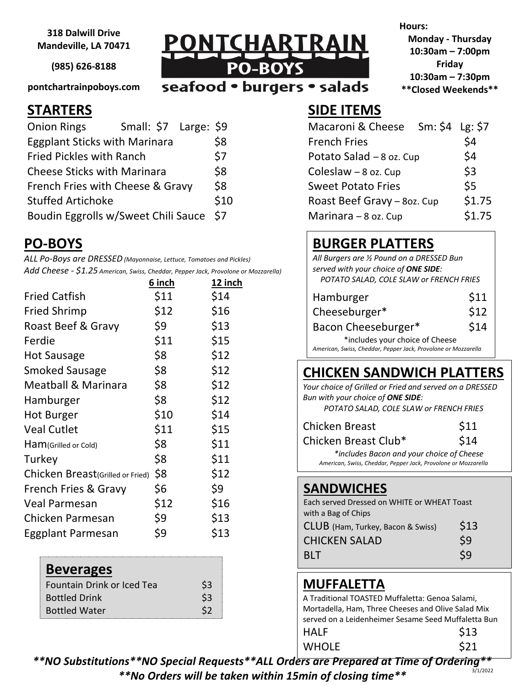**318 Dalwill Drive Mandeville, LA 70471**

**(985) 626-8188**

**pontchartrainpoboys.com**

| Small: \$7 Large: \$9<br><b>Onion Rings</b> |      | Macaroni & Cheese Sm: \$4 Lg: \$7 |        |
|---------------------------------------------|------|-----------------------------------|--------|
| <b>Eggplant Sticks with Marinara</b>        | \$8  | <b>French Fries</b>               | \$4    |
| <b>Fried Pickles with Ranch</b>             | \$7  | Potato Salad - 8 oz. Cup          | \$4    |
| <b>Cheese Sticks with Marinara</b>          | \$8  | Coleslaw $-8$ oz. Cup             | \$3    |
| French Fries with Cheese & Gravy            | \$8  | <b>Sweet Potato Fries</b>         | \$5    |
| <b>Stuffed Artichoke</b>                    | \$10 | Roast Beef Gravy - 8oz. Cup       | \$1.75 |
| Boudin Eggrolls w/Sweet Chili Sauce \$7     |      | Marinara $-8$ oz. Cup             | \$1.75 |

## **PO-BOYS**

*ALL Po-Boys are DRESSED (Mayonnaise, Lettuce, Tomatoes and Pickles) Add Cheese - \$1.25 American, Swiss, Cheddar, Pepper Jack, Provolone or Mozzarella)*

|                                  | 6 inch | 12 inch |
|----------------------------------|--------|---------|
| <b>Fried Catfish</b>             | \$11   | \$14    |
| Fried Shrimp                     | \$12   | \$16    |
| Roast Beef & Gravy               | \$9    | \$13    |
| Ferdie                           | \$11   | \$15    |
| Hot Sausage                      | \$8    | \$12    |
| Smoked Sausage                   | \$8    | \$12    |
| Meatball & Marinara              | \$8    | \$12    |
| Hamburger                        | \$8    | \$12    |
| Hot Burger                       | \$10   | \$14    |
| <b>Veal Cutlet</b>               | \$11   | \$15    |
| Ham(Grilled or Cold)             | \$8    | \$11    |
| Turkey                           | \$8    | \$11    |
| Chicken Breast(Grilled or Fried) | \$8    | \$12    |
| French Fries & Gravy             | \$6    | \$9     |
| Veal Parmesan                    | \$12   | \$16    |
| Chicken Parmesan                 | \$9    | \$13    |
| Eggplant Parmesan                | \$9    | \$13    |

#### **Beverages**

| \$3            |
|----------------|
| \$3            |
| S <sub>2</sub> |
|                |

PONTCHARTRA PO-BO

seafood . burgers . salads

**Hours: Monday - Thursday**

**10:30am – 7:00pm Friday 10:30am – 7:30pm \*\*Closed Weekends\*\***

### **STARTERS SIDE ITEMS**

| Macaroni & Cheese           | Sm: $$4$ Lg: $$7$ |        |
|-----------------------------|-------------------|--------|
| <b>French Fries</b>         |                   | \$4    |
| Potato Salad - 8 oz. Cup    |                   | \$4    |
| Coleslaw $-8$ oz. Cup       |                   | \$3    |
| <b>Sweet Potato Fries</b>   |                   | \$5    |
| Roast Beef Gravy - 8oz. Cup |                   | \$1.75 |
| Marinara $-8$ oz. Cup       |                   | \$1.75 |

# **BURGER PLATTERS**

*All Burgers are ½ Pound on a DRESSED Bun served with your choice of ONE SIDE: POTATO SALAD, COLE SLAW or FRENCH FRIES*

| Hamburger                                                      | \$11 |  |
|----------------------------------------------------------------|------|--|
| Cheeseburger*                                                  | \$12 |  |
| Bacon Cheeseburger*                                            | \$14 |  |
| *includes your choice of Cheese                                |      |  |
| American, Swiss, Cheddar, Pepper Jack, Provolone or Mozzarella |      |  |

#### **CHICKEN SANDWICH PLATTERS**

 *Your choice of Grilled or Fried and served on a DRESSED Bun with your choice of ONE SIDE: POTATO SALAD, COLE SLAW or FRENCH FRIES*

| <b>Chicken Breast</b> | \$11 |
|-----------------------|------|
| Chicken Breast Club*  | \$14 |

*\*includes Bacon and your choice of Cheese American, Swiss, Cheddar, Pepper Jack, Provolone or Mozzarella*

#### **SANDWICHES**

| Each served Dressed on WHITE or WHEAT Toast |      |  |
|---------------------------------------------|------|--|
| with a Bag of Chips                         |      |  |
| CLUB (Ham, Turkey, Bacon & Swiss)           | \$13 |  |
| <b>CHICKEN SALAD</b>                        | \$9  |  |
| <b>BIT</b>                                  | \$9  |  |

### **MUFFALETTA**

A Traditional TOASTED Muffaletta: Genoa Salami, Mortadella, Ham, Three Cheeses and Olive Salad Mix served on a Leidenheimer Sesame Seed Muffaletta Bun  $HALF$  \$13  $WHOLE$  \$21

*\*\*NO Substitutions\*\*NO Special Requests\*\*ALL Orders are Prepared at Time of Ordering\*\* \*\*No Orders will be taken within 15min of closing time\*\** 3/1/2022